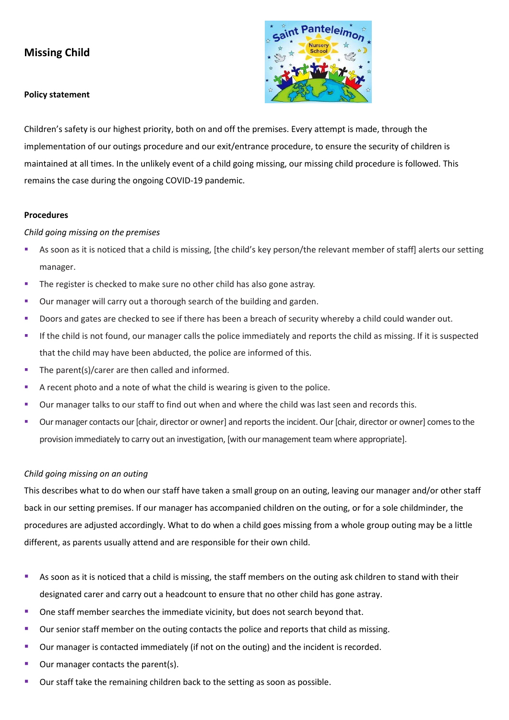# **Missing Child**

#### **Policy statement**



Children's safety is our highest priority, both on and off the premises. Every attempt is made, through the implementation of our outings procedure and our exit/entrance procedure, to ensure the security of children is maintained at all times. In the unlikely event of a child going missing, our missing child procedure is followed. This remains the case during the ongoing COVID-19 pandemic.

#### **Procedures**

### *Child going missing on the premises*

- As soon as it is noticed that a child is missing, [the child's key person/the relevant member of staff] alerts our setting manager.
- **•** The register is checked to make sure no other child has also gone astray.
- Our manager will carry out a thorough search of the building and garden.
- **•** Doors and gates are checked to see if there has been a breach of security whereby a child could wander out.
- If the child is not found, our manager calls the police immediately and reports the child as missing. If it is suspected that the child may have been abducted, the police are informed of this.
- The parent(s)/carer are then called and informed.
- A recent photo and a note of what the child is wearing is given to the police.
- Our manager talks to our staff to find out when and where the child was last seen and records this.
- Our manager contacts our [chair, director or owner] and reports the incident. Our [chair, director or owner] comes to the provision immediately to carry out an investigation, [with our management team where appropriate].

# *Child going missing on an outing*

This describes what to do when our staff have taken a small group on an outing, leaving our manager and/or other staff back in our setting premises. If our manager has accompanied children on the outing, or for a sole childminder, the procedures are adjusted accordingly. What to do when a child goes missing from a whole group outing may be a little different, as parents usually attend and are responsible for their own child.

- As soon as it is noticed that a child is missing, the staff members on the outing ask children to stand with their designated carer and carry out a headcount to ensure that no other child has gone astray.
- One staff member searches the immediate vicinity, but does not search beyond that.
- Our senior staff member on the outing contacts the police and reports that child as missing.
- Our manager is contacted immediately (if not on the outing) and the incident is recorded.
- Our manager contacts the parent(s).
- Our staff take the remaining children back to the setting as soon as possible.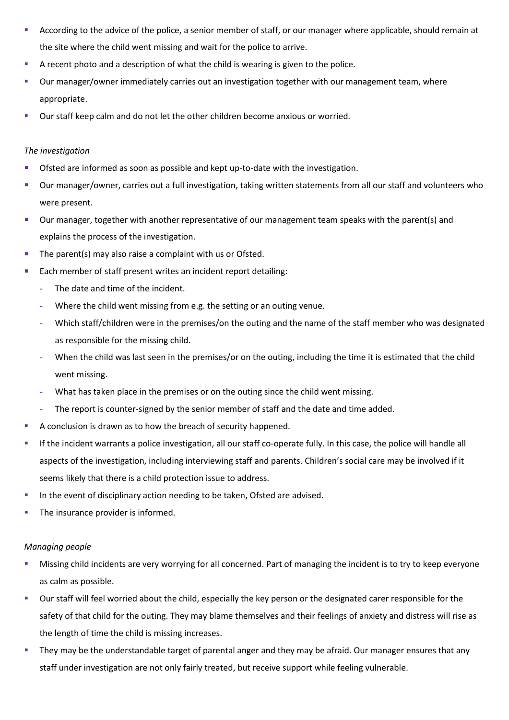- According to the advice of the police, a senior member of staff, or our manager where applicable, should remain at the site where the child went missing and wait for the police to arrive.
- A recent photo and a description of what the child is wearing is given to the police.
- Our manager/owner immediately carries out an investigation together with our management team, where appropriate.
- Our staff keep calm and do not let the other children become anxious or worried.

## *The investigation*

- Ofsted are informed as soon as possible and kept up-to-date with the investigation.
- Our manager/owner, carries out a full investigation, taking written statements from all our staff and volunteers who were present.
- Our manager, together with another representative of our management team speaks with the parent(s) and explains the process of the investigation.
- The parent(s) may also raise a complaint with us or Ofsted.
- Each member of staff present writes an incident report detailing:
	- **-** The date and time of the incident.
	- **-** Where the child went missing from e.g. the setting or an outing venue.
	- **-** Which staff/children were in the premises/on the outing and the name of the staff member who was designated as responsible for the missing child.
	- **-** When the child was last seen in the premises/or on the outing, including the time it is estimated that the child went missing.
	- **-** What has taken place in the premises or on the outing since the child went missing.
	- **-** The report is counter-signed by the senior member of staff and the date and time added.
- A conclusion is drawn as to how the breach of security happened.
- If the incident warrants a police investigation, all our staff co-operate fully. In this case, the police will handle all aspects of the investigation, including interviewing staff and parents. Children's social care may be involved if it seems likely that there is a child protection issue to address.
- **·** In the event of disciplinary action needing to be taken, Ofsted are advised.
- The insurance provider is informed.

# *Managing people*

- Missing child incidents are very worrying for all concerned. Part of managing the incident is to try to keep everyone as calm as possible.
- Our staff will feel worried about the child, especially the key person or the designated carer responsible for the safety of that child for the outing. They may blame themselves and their feelings of anxiety and distress will rise as the length of time the child is missing increases.
- They may be the understandable target of parental anger and they may be afraid. Our manager ensures that any staff under investigation are not only fairly treated, but receive support while feeling vulnerable.